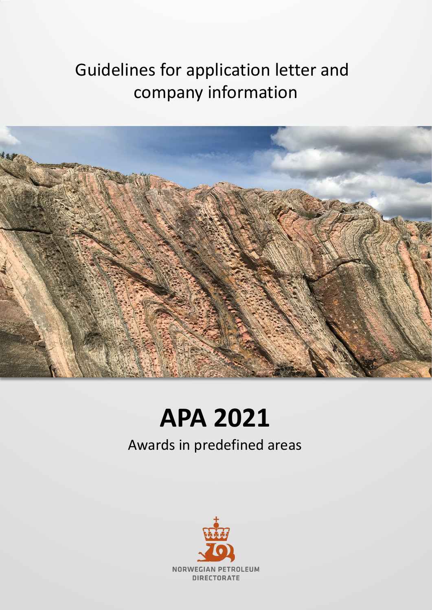# Guidelines for application letter and company information



# **APA 2021**

# Awards in predefined areas

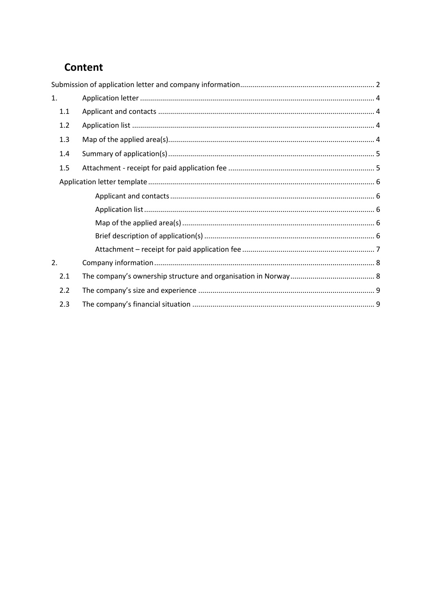# Content

| 1.  |  |
|-----|--|
| 1.1 |  |
| 1.2 |  |
| 1.3 |  |
| 1.4 |  |
| 1.5 |  |
|     |  |
|     |  |
|     |  |
|     |  |
|     |  |
|     |  |
| 2.  |  |
| 2.1 |  |
| 2.2 |  |
| 2.3 |  |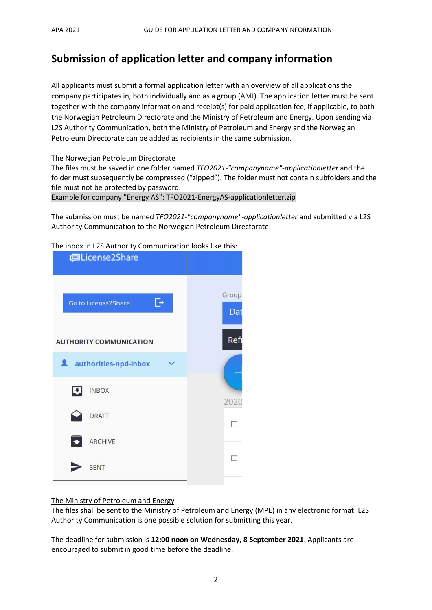# <span id="page-2-0"></span>**Submission of application letter and company information**

All applicants must submit a formal application letter with an overview of all applications the company participates in, both individually and as a group (AMI). The application letter must be sent together with the company information and receipt(s) for paid application fee, if applicable, to both the Norwegian Petroleum Directorate and the Ministry of Petroleum and Energy. Upon sending via L2S Authority Communication, both the Ministry of Petroleum and Energy and the Norwegian Petroleum Directorate can be added as recipients in the same submission.

The Norwegian Petroleum Directorate

The files must be saved in one folder named *TFO2021-"companyname"-applicationletter* and the folder must subsequently be compressed ("zipped"). The folder must not contain subfolders and the file must not be protected by password.

Example for company "Energy AS": TFO2021-EnergyAS-applicationletter.zip

The submission must be named *TFO2021-"companyname"-applicationletter* and submitted via L2S Authority Communication to the Norwegian Petroleum Directorate.

The inbox in L2S Authority Communication looks like this:



#### The Ministry of Petroleum and Energy

The files shall be sent to the Ministry of Petroleum and Energy (MPE) in any electronic format. L2S Authority Communication is one possible solution for submitting this year.

The deadline for submission is **12:00 noon on Wednesday, 8 September 2021**. Applicants are encouraged to submit in good time before the deadline.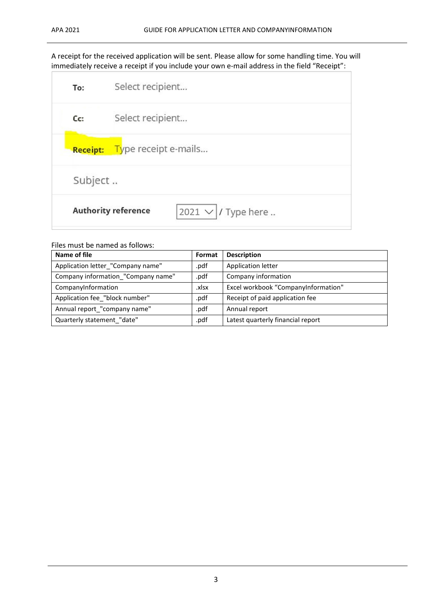A receipt for the received application will be sent. Please allow for some handling time. You will immediately receive a receipt if you include your own e-mail address in the field "Receipt":

| To:             | Select recipient                                    |  |  |  |  |  |  |
|-----------------|-----------------------------------------------------|--|--|--|--|--|--|
| C <sub>C</sub>  | Select recipient                                    |  |  |  |  |  |  |
| <b>Receipt:</b> | Type receipt e-mails                                |  |  |  |  |  |  |
| Subject         |                                                     |  |  |  |  |  |  |
|                 | <b>Authority reference</b><br>2021 V<br>/ Type here |  |  |  |  |  |  |

Files must be named as follows:

| Name of file                       | Format | <b>Description</b>                  |  |  |  |
|------------------------------------|--------|-------------------------------------|--|--|--|
| Application letter_"Company name"  | .pdf   | Application letter                  |  |  |  |
| Company information_"Company name" | .pdf   | Company information                 |  |  |  |
| CompanyInformation                 | .xlsx  | Excel workbook "CompanyInformation" |  |  |  |
| Application fee "block number"     | .pdf   | Receipt of paid application fee     |  |  |  |
| Annual report_"company name"       | .pdf   | Annual report                       |  |  |  |
| Quarterly statement "date"         | .pdf   | Latest quarterly financial report   |  |  |  |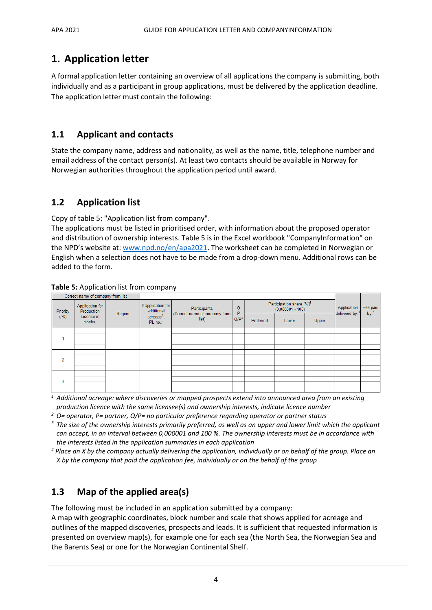# <span id="page-4-0"></span>**1. Application letter**

A formal application letter containing an overview of all applications the company is submitting, both individually and as a participant in group applications, must be delivered by the application deadline. The application letter must contain the following:

### <span id="page-4-1"></span>**1.1 Applicant and contacts**

State the company name, address and nationality, as well as the name, title, telephone number and email address of the contact person(s). At least two contacts should be available in Norway for Norwegian authorities throughout the application period until award.

# <span id="page-4-2"></span>**1.2 Application list**

Copy of table 5: "Application list from company".

The applications must be listed in prioritised order, with information about the proposed operator and distribution of ownership interests. Table 5 is in the Excel workbook "CompanyInformation" on the NPD's website at: [www.npd.no/en/apa2021.](https://www.npd.no/en/apa2021/) The worksheet can be completed in Norwegian or English when a selection does not have to be made from a drop-down menu. Additional rows can be added to the form.

| Correct name of company from list |                                                        |        |                                                                       |                                                        |                         |                                                            |       |       |                                           |                     |
|-----------------------------------|--------------------------------------------------------|--------|-----------------------------------------------------------------------|--------------------------------------------------------|-------------------------|------------------------------------------------------------|-------|-------|-------------------------------------------|---------------------|
| Priority                          | Application for<br>Production<br>License in<br>blocks: | Region | If application for<br>additional<br>acreage <sup>1</sup> ,<br>PL no.: | Participants<br>(Correct name of company from<br>list) | $\circ$<br>P<br>$O/P^2$ | Participation share [%] <sup>3</sup><br>$(0,000001 - 100)$ |       |       | Application<br>delivered by: <sup>4</sup> | Fee paid<br>by: $4$ |
| ( > 0)                            |                                                        |        |                                                                       |                                                        |                         | Preferred                                                  | Lower | Upper |                                           |                     |
|                                   |                                                        |        |                                                                       |                                                        |                         |                                                            |       |       |                                           |                     |
|                                   |                                                        |        |                                                                       |                                                        |                         |                                                            |       |       |                                           |                     |
|                                   |                                                        |        |                                                                       |                                                        |                         |                                                            |       |       |                                           |                     |
|                                   |                                                        |        |                                                                       |                                                        |                         |                                                            |       |       |                                           |                     |
|                                   |                                                        |        |                                                                       |                                                        |                         |                                                            |       |       |                                           |                     |
| $\mathcal{P}$                     |                                                        |        |                                                                       |                                                        |                         |                                                            |       |       |                                           |                     |
|                                   |                                                        |        |                                                                       |                                                        |                         |                                                            |       |       |                                           |                     |
|                                   |                                                        |        |                                                                       |                                                        |                         |                                                            |       |       |                                           |                     |
|                                   |                                                        |        |                                                                       |                                                        |                         |                                                            |       |       |                                           |                     |
| 3                                 |                                                        |        |                                                                       |                                                        |                         |                                                            |       |       |                                           |                     |
|                                   |                                                        |        |                                                                       |                                                        |                         |                                                            |       |       |                                           |                     |
|                                   |                                                        |        |                                                                       |                                                        |                         |                                                            |       |       |                                           |                     |

#### **Table 5:** Application list from company

*<sup>1</sup> Additional acreage: where discoveries or mapped prospects extend into announced area from an existing production licence with the same licensee(s) and ownership interests, indicate licence number*

*2 O= operator, P= partner, O/P= no particular preference regarding operator or partner status*

- *<sup>3</sup> The size of the ownership interests primarily preferred, as well as an upper and lower limit which the applicant can accept, in an interval between 0,000001 and 100 %. The ownership interests must be in accordance with the interests listed in the application summaries in each application*
- *<sup>4</sup> Place an X by the company actually delivering the application, individually or on behalf of the group. Place an X by the company that paid the application fee, individually or on the behalf of the group*

# <span id="page-4-3"></span>**1.3 Map of the applied area(s)**

The following must be included in an application submitted by a company:

A map with geographic coordinates, block number and scale that shows applied for acreage and outlines of the mapped discoveries, prospects and leads. It is sufficient that requested information is presented on overview map(s), for example one for each sea (the North Sea, the Norwegian Sea and the Barents Sea) or one for the Norwegian Continental Shelf.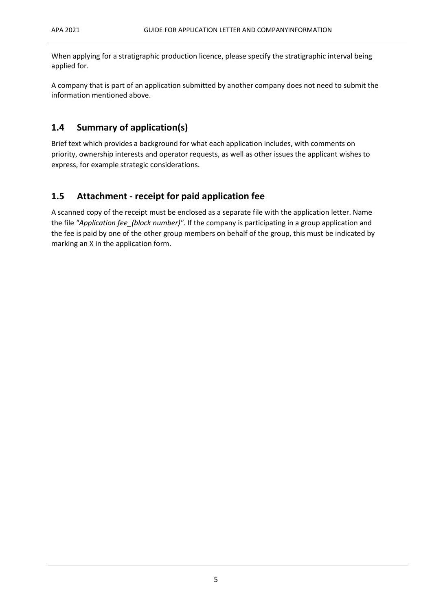When applying for a stratigraphic production licence, please specify the stratigraphic interval being applied for.

A company that is part of an application submitted by another company does not need to submit the information mentioned above.

# <span id="page-5-0"></span>**1.4 Summary of application(s)**

Brief text which provides a background for what each application includes, with comments on priority, ownership interests and operator requests, as well as other issues the applicant wishes to express, for example strategic considerations.

# <span id="page-5-1"></span>**1.5 Attachment - receipt for paid application fee**

A scanned copy of the receipt must be enclosed as a separate file with the application letter. Name the file *"Application fee\_(block number)"*. If the company is participating in a group application and the fee is paid by one of the other group members on behalf of the group, this must be indicated by marking an X in the application form.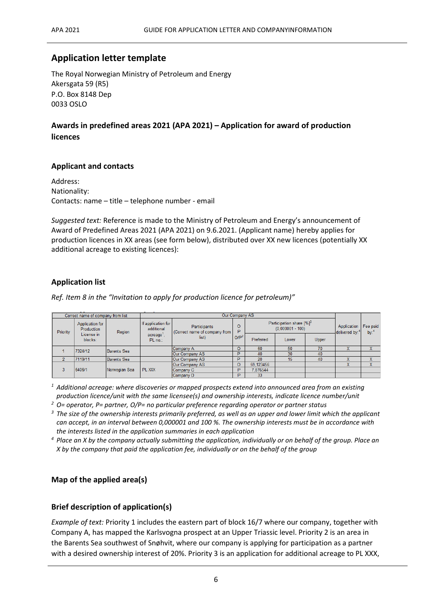### <span id="page-6-0"></span>**Application letter template**

The Royal Norwegian Ministry of Petroleum and Energy Akersgata 59 (R5) P.O. Box 8148 Dep 0033 OSLO

**Awards in predefined areas 2021 (APA 2021) – Application for award of production licences**

#### <span id="page-6-1"></span>**Applicant and contacts**

Address: Nationality: Contacts: name – title – telephone number - email

*Suggested text:* Reference is made to the Ministry of Petroleum and Energy's announcement of Award of Predefined Areas 2021 (APA 2021) on 9.6.2021. (Applicant name) hereby applies for production licences in XX areas (see form below), distributed over XX new licences (potentially XX additional acreage to existing licences):

#### <span id="page-6-2"></span>**Application list**

*Ref. Item 8 in the "Invitation to apply for production licence for petroleum)"*

| Correct name of company from list |                                                               |               | Our Company AS                   |                                                               |                 |                                                            |       |       |                                                      |     |  |
|-----------------------------------|---------------------------------------------------------------|---------------|----------------------------------|---------------------------------------------------------------|-----------------|------------------------------------------------------------|-------|-------|------------------------------------------------------|-----|--|
| Priority                          | Application for<br><b>Production</b><br>License in<br>blocks: | Region        | If application for<br>additional | <b>Participants</b><br>(Correct name of company from<br>list) | OP <sup>2</sup> | Participation share [%] <sup>3</sup><br>$(0,000001 - 100)$ |       |       | Application   Fee paid<br>delivered by: <sup>4</sup> | by: |  |
|                                   |                                                               |               | acreage',<br>PL no.:             |                                                               |                 | <b>Preferred</b>                                           | Lower | Upper |                                                      |     |  |
|                                   | 7324/12                                                       | Barents Sea   |                                  | Company A                                                     | O               | 60                                                         | 50    | 70    |                                                      | X   |  |
|                                   |                                                               |               |                                  |                                                               | Our Company AS  | Þ                                                          | 40    | 30    | 40                                                   |     |  |
|                                   | 7119/11                                                       | Barents Sea   |                                  | Our Company AS                                                | P               | 20                                                         | 15    | 40    |                                                      | X   |  |
|                                   |                                                               |               |                                  | Our Company AS                                                | o               | 59.123456                                                  |       |       |                                                      | X   |  |
|                                   | 6406/1                                                        | Norwegian Sea | PL XXX                           | Company C                                                     | Þ               | 7.876544                                                   |       |       |                                                      |     |  |
|                                   |                                                               |               |                                  | Company D                                                     | D               | 33                                                         |       |       |                                                      |     |  |

*<sup>1</sup> Additional acreage: where discoveries or mapped prospects extend into announced area from an existing production licence/unit with the same licensee(s) and ownership interests, indicate licence number/unit*

*<sup>2</sup> O= operator, P= partner, O/P= no particular preference regarding operator or partner status*

- *<sup>3</sup> The size of the ownership interests primarily preferred, as well as an upper and lower limit which the applicant can accept, in an interval between 0,000001 and 100 %. The ownership interests must be in accordance with the interests listed in the application summaries in each application*
- *<sup>4</sup> Place an X by the company actually submitting the application, individually or on behalf of the group. Place an X by the company that paid the application fee, individually or on the behalf of the group*

#### <span id="page-6-3"></span>**Map of the applied area(s)**

#### <span id="page-6-4"></span>**Brief description of application(s)**

*Example of text:* Priority 1 includes the eastern part of block 16/7 where our company, together with Company A, has mapped the Karlsvogna prospect at an Upper Triassic level. Priority 2 is an area in the Barents Sea southwest of Snøhvit, where our company is applying for participation as a partner with a desired ownership interest of 20%. Priority 3 is an application for additional acreage to PL XXX,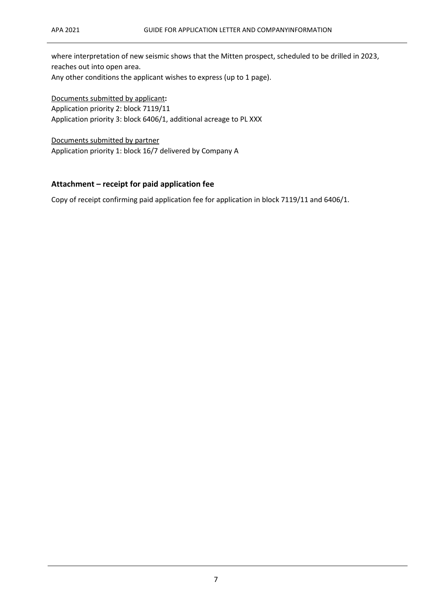where interpretation of new seismic shows that the Mitten prospect, scheduled to be drilled in 2023, reaches out into open area. Any other conditions the applicant wishes to express (up to 1 page).

Documents submitted by applicant**:** Application priority 2: block 7119/11 Application priority 3: block 6406/1, additional acreage to PL XXX

Documents submitted by partner Application priority 1: block 16/7 delivered by Company A

#### <span id="page-7-0"></span>**Attachment – receipt for paid application fee**

Copy of receipt confirming paid application fee for application in block 7119/11 and 6406/1.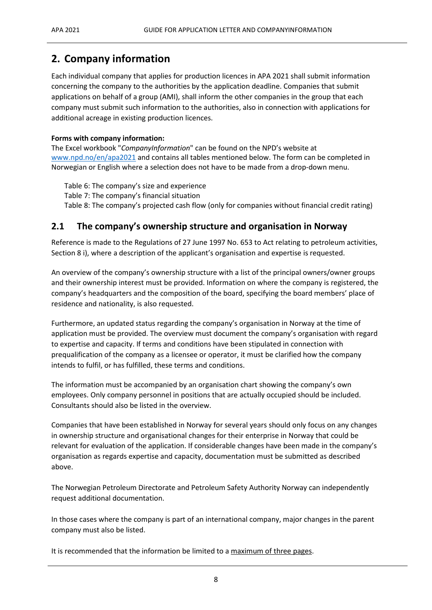# <span id="page-8-0"></span>**2. Company information**

Each individual company that applies for production licences in APA 2021 shall submit information concerning the company to the authorities by the application deadline. Companies that submit applications on behalf of a group (AMI), shall inform the other companies in the group that each company must submit such information to the authorities, also in connection with applications for additional acreage in existing production licences.

#### **Forms with company information:**

The Excel workbook "*CompanyInformation*" can be found on the NPD's website at [www.npd.no/en/apa2021](https://www.npd.no/en/apa2021/) and contains all tables mentioned below. The form can be completed in Norwegian or English where a selection does not have to be made from a drop-down menu.

Table 6: The company's size and experience Table 7: The company's financial situation Table 8: The company's projected cash flow (only for companies without financial credit rating)

#### <span id="page-8-1"></span>**2.1 The company's ownership structure and organisation in Norway**

Reference is made to the Regulations of 27 June 1997 No. 653 to Act relating to petroleum activities, Section 8 i), where a description of the applicant's organisation and expertise is requested.

An overview of the company's ownership structure with a list of the principal owners/owner groups and their ownership interest must be provided. Information on where the company is registered, the company's headquarters and the composition of the board, specifying the board members' place of residence and nationality, is also requested.

Furthermore, an updated status regarding the company's organisation in Norway at the time of application must be provided. The overview must document the company's organisation with regard to expertise and capacity. If terms and conditions have been stipulated in connection with prequalification of the company as a licensee or operator, it must be clarified how the company intends to fulfil, or has fulfilled, these terms and conditions.

The information must be accompanied by an organisation chart showing the company's own employees. Only company personnel in positions that are actually occupied should be included. Consultants should also be listed in the overview.

Companies that have been established in Norway for several years should only focus on any changes in ownership structure and organisational changes for their enterprise in Norway that could be relevant for evaluation of the application. If considerable changes have been made in the company's organisation as regards expertise and capacity, documentation must be submitted as described above.

The Norwegian Petroleum Directorate and Petroleum Safety Authority Norway can independently request additional documentation.

In those cases where the company is part of an international company, major changes in the parent company must also be listed.

It is recommended that the information be limited to a maximum of three pages.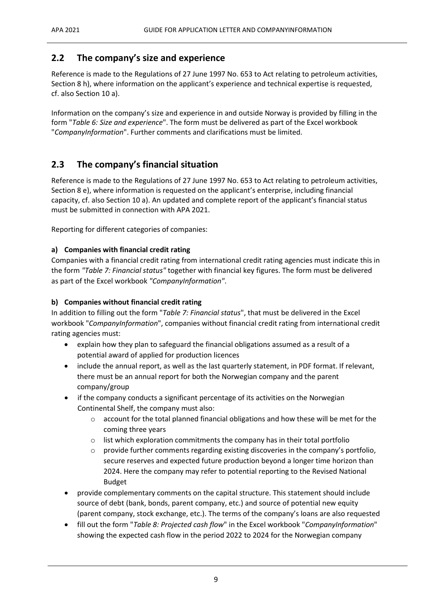# <span id="page-9-0"></span>**2.2 The company's size and experience**

Reference is made to the Regulations of 27 June 1997 No. 653 to Act relating to petroleum activities, Section 8 h), where information on the applicant's experience and technical expertise is requested, cf. also Section 10 a).

Information on the company's size and experience in and outside Norway is provided by filling in the form "*Table 6: Size and experience*". The form must be delivered as part of the Excel workbook "*CompanyInformation*". Further comments and clarifications must be limited.

# <span id="page-9-1"></span>**2.3 The company's financial situation**

Reference is made to the Regulations of 27 June 1997 No. 653 to Act relating to petroleum activities, Section 8 e), where information is requested on the applicant's enterprise, including financial capacity, cf. also Section 10 a). An updated and complete report of the applicant's financial status must be submitted in connection with APA 2021.

Reporting for different categories of companies:

#### **a) Companies with financial credit rating**

Companies with a financial credit rating from international credit rating agencies must indicate this in the form *"Table 7: Financial status"* together with financial key figures. The form must be delivered as part of the Excel workbook *"CompanyInformation"*.

#### **b) Companies without financial credit rating**

In addition to filling out the form "*Table 7: Financial status*", that must be delivered in the Excel workbook "*CompanyInformation*", companies without financial credit rating from international credit rating agencies must:

- explain how they plan to safeguard the financial obligations assumed as a result of a potential award of applied for production licences
- include the annual report, as well as the last quarterly statement, in PDF format. If relevant, there must be an annual report for both the Norwegian company and the parent company/group
- if the company conducts a significant percentage of its activities on the Norwegian Continental Shelf, the company must also:
	- $\circ$  account for the total planned financial obligations and how these will be met for the coming three years
	- $\circ$  list which exploration commitments the company has in their total portfolio
	- $\circ$  provide further comments regarding existing discoveries in the company's portfolio, secure reserves and expected future production beyond a longer time horizon than 2024. Here the company may refer to potential reporting to the Revised National Budget
- provide complementary comments on the capital structure. This statement should include source of debt (bank, bonds, parent company, etc.) and source of potential new equity (parent company, stock exchange, etc.). The terms of the company's loans are also requested
- fill out the form "*Table 8: Projected cash flow*" in the Excel workbook "*CompanyInformation*" showing the expected cash flow in the period 2022 to 2024 for the Norwegian company